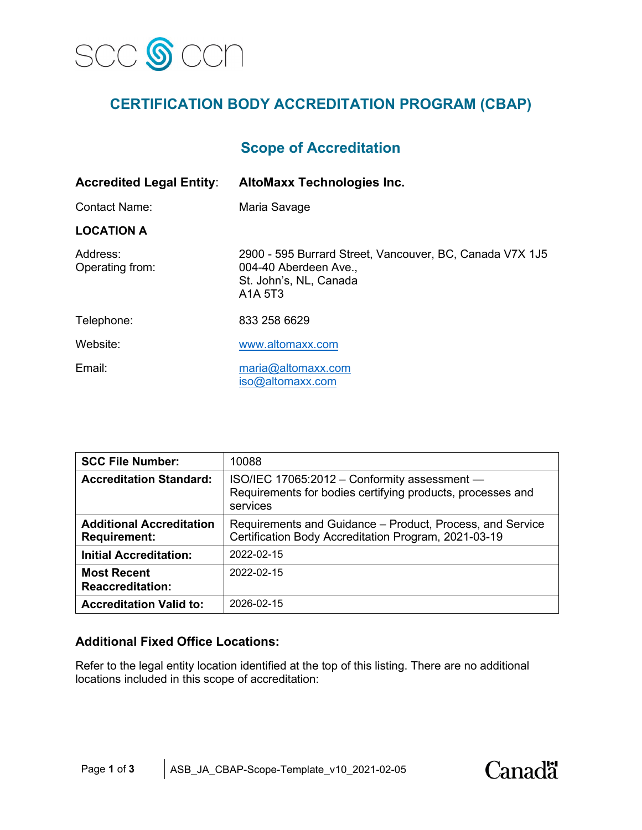

# **CERTIFICATION BODY ACCREDITATION PROGRAM (CBAP)**

## **Scope of Accreditation**

| <b>Accredited Legal Entity:</b> | <b>AltoMaxx Technologies Inc.</b>                                                                                                                           |
|---------------------------------|-------------------------------------------------------------------------------------------------------------------------------------------------------------|
| <b>Contact Name:</b>            | Maria Savage                                                                                                                                                |
| <b>LOCATION A</b>               |                                                                                                                                                             |
| Address:<br>Operating from:     | 2900 - 595 Burrard Street, Vancouver, BC, Canada V7X 1J5<br>004-40 Aberdeen Ave.,<br>St. John's, NL, Canada<br>A <sub>1</sub> A <sub>5</sub> T <sub>3</sub> |
| Telephone:                      | 833 258 6629                                                                                                                                                |
| Website:                        | www.altomaxx.com                                                                                                                                            |
| Email:                          | maria@altomaxx.com<br>iso@altomaxx.com                                                                                                                      |

| <b>SCC File Number:</b>                                | 10088                                                                                                                  |  |
|--------------------------------------------------------|------------------------------------------------------------------------------------------------------------------------|--|
| <b>Accreditation Standard:</b>                         | ISO/IEC 17065:2012 - Conformity assessment -<br>Requirements for bodies certifying products, processes and<br>services |  |
| <b>Additional Accreditation</b><br><b>Requirement:</b> | Requirements and Guidance – Product, Process, and Service<br>Certification Body Accreditation Program, 2021-03-19      |  |
| <b>Initial Accreditation:</b>                          | 2022-02-15                                                                                                             |  |
| <b>Most Recent</b><br><b>Reaccreditation:</b>          | 2022-02-15                                                                                                             |  |
| <b>Accreditation Valid to:</b>                         | 2026-02-15                                                                                                             |  |

## **Additional Fixed Office Locations:**

Refer to the legal entity location identified at the top of this listing. There are no additional locations included in this scope of accreditation:

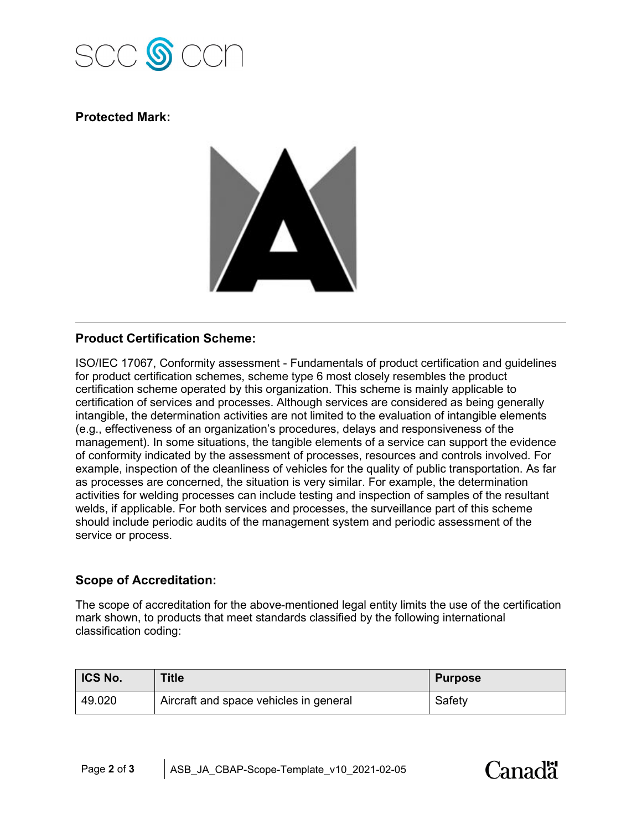

## **Protected Mark:**



## **Product Certification Scheme:**

ISO/IEC 17067, Conformity assessment - Fundamentals of product certification and guidelines for product certification schemes, scheme type 6 most closely resembles the product certification scheme operated by this organization. This scheme is mainly applicable to certification of services and processes. Although services are considered as being generally intangible, the determination activities are not limited to the evaluation of intangible elements (e.g., effectiveness of an organization's procedures, delays and responsiveness of the management). In some situations, the tangible elements of a service can support the evidence of conformity indicated by the assessment of processes, resources and controls involved. For example, inspection of the cleanliness of vehicles for the quality of public transportation. As far as processes are concerned, the situation is very similar. For example, the determination activities for welding processes can include testing and inspection of samples of the resultant welds, if applicable. For both services and processes, the surveillance part of this scheme should include periodic audits of the management system and periodic assessment of the service or process.

## **Scope of Accreditation:**

The scope of accreditation for the above-mentioned legal entity limits the use of the certification mark shown, to products that meet standards classified by the following international classification coding:

| <b>ICS No.</b> | Title                                  | <b>Purpose</b> |
|----------------|----------------------------------------|----------------|
| 49.020         | Aircraft and space vehicles in general | Safety         |